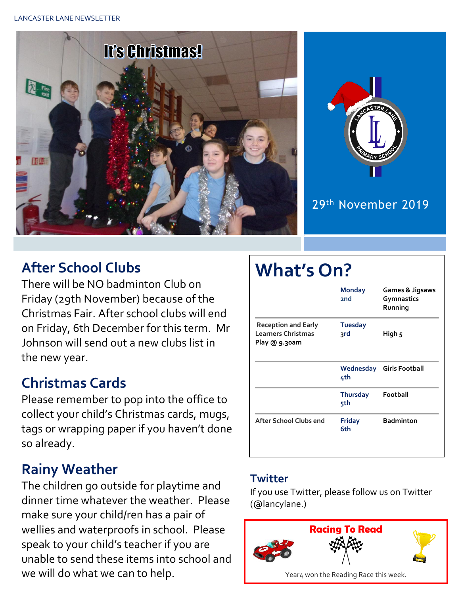



#### 29th November 2019

### **After School Clubs**

There will be NO badminton Club on Friday (29th November) because of the Christmas Fair. After school clubs will end on Friday, 6th December for this term. Mr Johnson will send out a new clubs list in the new year.

### **Christmas Cards**

Please remember to pop into the office to collect your child's Christmas cards, mugs, tags or wrapping paper if you haven't done so already.

### **Rainy Weather**

The children go outside for playtime and dinner time whatever the weather. Please make sure your child/ren has a pair of wellies and waterproofs in school. Please speak to your child's teacher if you are unable to send these items into school and we will do what we can to help.

# **What's On?**

|                                                                          | <b>Monday</b><br>2 <sub>nd</sub> | Games & Jigsaws<br>Gymnastics<br>Running |  |
|--------------------------------------------------------------------------|----------------------------------|------------------------------------------|--|
| <b>Reception and Early</b><br><b>Learners Christmas</b><br>Play @ 9.30am | <b>Tuesday</b><br>३rd            | High 5                                   |  |
|                                                                          | 4th                              | Wednesday Girls Football                 |  |
|                                                                          | <b>Thursday</b><br>5th           | Football                                 |  |
| After School Clubs end                                                   | <b>Friday</b><br>6th             | <b>Badminton</b>                         |  |

#### **Twitter**

If you use Twitter, please follow us on Twitter (@lancylane.)

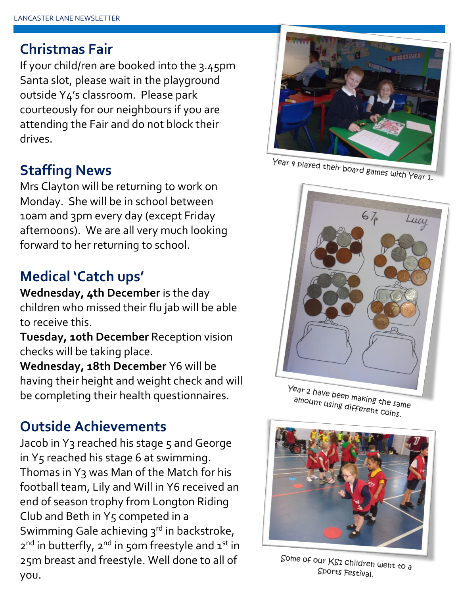#### **Christmas Fair**

If your child/ren are booked into the 3.45pm Santa slot, please wait in the playground outside Y4's classroom. Please park courteously for our neighbours if you are attending the Fair and do not block their drives.

## **Staffing News**

Mrs Clayton will be returning to work on Monday. She will be in school between 10am and 3pm every day (except Friday afternoons). We are all very much looking forward to her returning to school.

# **Medical 'Catch ups'**

**Wednesday, 4th December** is the day children who missed their flu jab will be able to receive this.

**Tuesday, 10th December** Reception vision checks will be taking place.

**Wednesday, 18th December** Y6 will be having their height and weight check and will be completing their health questionnaires.

## **Outside Achievements**

Jacob in Y3 reached his stage 5 and George in  $Y_5$  reached his stage 6 at swimming. Thomas in Y3 was Man of the Match for his football team, Lily and Will in Y6 received an end of season trophy from Longton Riding Club and Beth in Y5 competed in a Swimming Gale achieving 3rd in backstroke, 2<sup>nd</sup> in butterfly, 2<sup>nd</sup> in 50m freestyle and 1<sup>st</sup> in 25m breast and freestyle. Well done to all of you.



Year 4 played their board games with Year 1.



Year 2 have been making the same amount using different coins.



Some of our  $KS1$  children went to a Sports Festival.